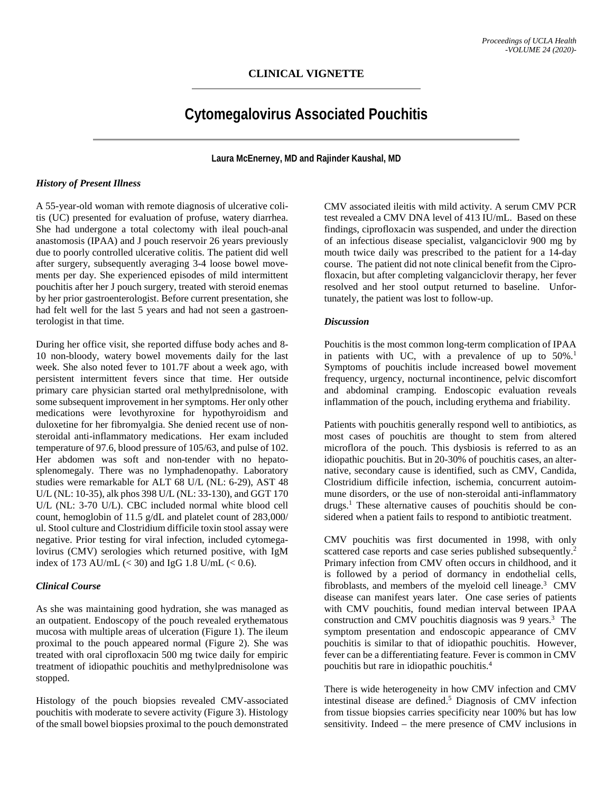## **CLINICAL VIGNETTE**

# **Cytomegalovirus Associated Pouchitis**

**Laura McEnerney, MD and Rajinder Kaushal, MD**

#### *History of Present Illness*

A 55-year-old woman with remote diagnosis of ulcerative colitis (UC) presented for evaluation of profuse, watery diarrhea. She had undergone a total colectomy with ileal pouch-anal anastomosis (IPAA) and J pouch reservoir 26 years previously due to poorly controlled ulcerative colitis. The patient did well after surgery, subsequently averaging 3-4 loose bowel movements per day. She experienced episodes of mild intermittent pouchitis after her J pouch surgery, treated with steroid enemas by her prior gastroenterologist. Before current presentation, she had felt well for the last 5 years and had not seen a gastroenterologist in that time.

During her office visit, she reported diffuse body aches and 8- 10 non-bloody, watery bowel movements daily for the last week. She also noted fever to 101.7F about a week ago, with persistent intermittent fevers since that time. Her outside primary care physician started oral methylprednisolone, with some subsequent improvement in her symptoms. Her only other medications were levothyroxine for hypothyroidism and duloxetine for her fibromyalgia. She denied recent use of nonsteroidal anti-inflammatory medications. Her exam included temperature of 97.6, blood pressure of 105/63, and pulse of 102. Her abdomen was soft and non-tender with no hepatosplenomegaly. There was no lymphadenopathy. Laboratory studies were remarkable for ALT 68 U/L (NL: 6-29), AST 48 U/L (NL: 10-35), alk phos 398 U/L (NL: 33-130), and GGT 170 U/L (NL: 3-70 U/L). CBC included normal white blood cell count, hemoglobin of 11.5 g/dL and platelet count of 283,000/ ul. Stool culture and Clostridium difficile toxin stool assay were negative. Prior testing for viral infection, included cytomegalovirus (CMV) serologies which returned positive, with IgM index of 173 AU/mL  $(< 30)$  and IgG 1.8 U/mL  $(< 0.6)$ .

#### *Clinical Course*

As she was maintaining good hydration, she was managed as an outpatient. Endoscopy of the pouch revealed erythematous mucosa with multiple areas of ulceration (Figure 1). The ileum proximal to the pouch appeared normal (Figure 2). She was treated with oral ciprofloxacin 500 mg twice daily for empiric treatment of idiopathic pouchitis and methylprednisolone was stopped.

Histology of the pouch biopsies revealed CMV-associated pouchitis with moderate to severe activity (Figure 3). Histology of the small bowel biopsies proximal to the pouch demonstrated

CMV associated ileitis with mild activity. A serum CMV PCR test revealed a CMV DNA level of 413 IU/mL. Based on these findings, ciprofloxacin was suspended, and under the direction of an infectious disease specialist, valganciclovir 900 mg by mouth twice daily was prescribed to the patient for a 14-day course. The patient did not note clinical benefit from the Ciprofloxacin, but after completing valganciclovir therapy, her fever resolved and her stool output returned to baseline. Unfortunately, the patient was lost to follow-up.

#### *Discussion*

Pouchitis is the most common long-term complication of IPAA in patients with UC, with a prevalence of up to 50%.<sup>1</sup> Symptoms of pouchitis include increased bowel movement frequency, urgency, nocturnal incontinence, pelvic discomfort and abdominal cramping. Endoscopic evaluation reveals inflammation of the pouch, including erythema and friability.

Patients with pouchitis generally respond well to antibiotics, as most cases of pouchitis are thought to stem from altered microflora of the pouch. This dysbiosis is referred to as an idiopathic pouchitis. But in 20-30% of pouchitis cases, an alternative, secondary cause is identified, such as CMV, Candida, Clostridium difficile infection, ischemia, concurrent autoimmune disorders, or the use of non-steroidal anti-inflammatory drugs. <sup>1</sup> These alternative causes of pouchitis should be considered when a patient fails to respond to antibiotic treatment.

CMV pouchitis was first documented in 1998, with only scattered case reports and case series published subsequently.<sup>2</sup> Primary infection from CMV often occurs in childhood, and it is followed by a period of dormancy in endothelial cells, fibroblasts, and members of the myeloid cell lineage. <sup>3</sup> CMV disease can manifest years later. One case series of patients with CMV pouchitis, found median interval between IPAA construction and CMV pouchitis diagnosis was 9 years. <sup>3</sup> The symptom presentation and endoscopic appearance of CMV pouchitis is similar to that of idiopathic pouchitis. However, fever can be a differentiating feature. Fever is common in CMV pouchitis but rare in idiopathic pouchitis. 4

There is wide heterogeneity in how CMV infection and CMV intestinal disease are defined. <sup>5</sup> Diagnosis of CMV infection from tissue biopsies carries specificity near 100% but has low sensitivity. Indeed – the mere presence of CMV inclusions in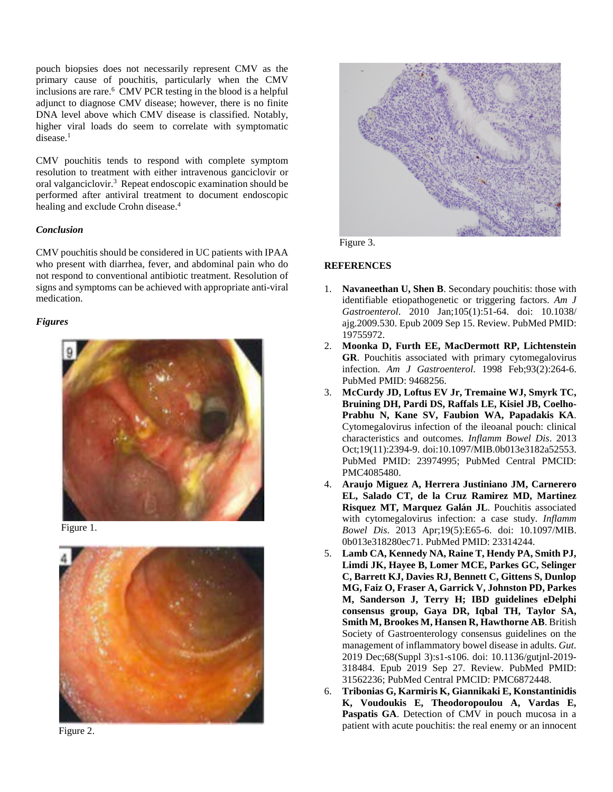pouch biopsies does not necessarily represent CMV as the primary cause of pouchitis, particularly when the CMV inclusions are rare. <sup>6</sup> CMV PCR testing in the blood is a helpful adjunct to diagnose CMV disease; however, there is no finite DNA level above which CMV disease is classified. Notably, higher viral loads do seem to correlate with symptomatic disease.<sup>1</sup>

CMV pouchitis tends to respond with complete symptom resolution to treatment with either intravenous ganciclovir or oral valganciclovir.<sup>3</sup> Repeat endoscopic examination should be performed after antiviral treatment to document endoscopic healing and exclude Crohn disease. 4

## *Conclusion*

CMV pouchitis should be considered in UC patients with IPAA who present with diarrhea, fever, and abdominal pain who do not respond to conventional antibiotic treatment. Resolution of signs and symptoms can be achieved with appropriate anti-viral medication.

# *Figures*



Figure 1.







Figure 3.

## **REFERENCES**

- 1. **Navaneethan U, Shen B**. Secondary pouchitis: those with identifiable etiopathogenetic or triggering factors. *Am J Gastroenterol*. 2010 Jan;105(1):51-64. doi: 10.1038/ ajg.2009.530. Epub 2009 Sep 15. Review. PubMed PMID: 19755972.
- 2. **Moonka D, Furth EE, MacDermott RP, Lichtenstein GR**. Pouchitis associated with primary cytomegalovirus infection. *Am J Gastroenterol*. 1998 Feb;93(2):264-6. PubMed PMID: 9468256.
- 3. **McCurdy JD, Loftus EV Jr, Tremaine WJ, Smyrk TC, Bruining DH, Pardi DS, Raffals LE, Kisiel JB, Coelho-Prabhu N, Kane SV, Faubion WA, Papadakis KA**. Cytomegalovirus infection of the ileoanal pouch: clinical characteristics and outcomes. *Inflamm Bowel Dis*. 2013 Oct;19(11):2394-9. doi:10.1097/MIB.0b013e3182a52553. PubMed PMID: 23974995; PubMed Central PMCID: PMC4085480.
- 4. **Araujo Miguez A, Herrera Justiniano JM, Carnerero EL, Salado CT, de la Cruz Ramirez MD, Martinez Risquez MT, Marquez Galán JL**. Pouchitis associated with cytomegalovirus infection: a case study. *Inflamm Bowel Dis*. 2013 Apr;19(5):E65-6. doi: 10.1097/MIB. 0b013e318280ec71. PubMed PMID: 23314244.
- 5. **Lamb CA, Kennedy NA, Raine T, Hendy PA, Smith PJ, Limdi JK, Hayee B, Lomer MCE, Parkes GC, Selinger C, Barrett KJ, Davies RJ, Bennett C, Gittens S, Dunlop MG, Faiz O, Fraser A, Garrick V, Johnston PD, Parkes M, Sanderson J, Terry H; IBD guidelines eDelphi consensus group, Gaya DR, Iqbal TH, Taylor SA, Smith M, Brookes M, Hansen R, Hawthorne AB**. British Society of Gastroenterology consensus guidelines on the management of inflammatory bowel disease in adults. *Gut*. 2019 Dec;68(Suppl 3):s1-s106. doi: 10.1136/gutjnl-2019- 318484. Epub 2019 Sep 27. Review. PubMed PMID: 31562236; PubMed Central PMCID: PMC6872448.
- 6. **Tribonias G, Karmiris K, Giannikaki E, Konstantinidis K, Voudoukis E, Theodoropoulou A, Vardas E, Paspatis GA**. Detection of CMV in pouch mucosa in a patient with acute pouchitis: the real enemy or an innocent